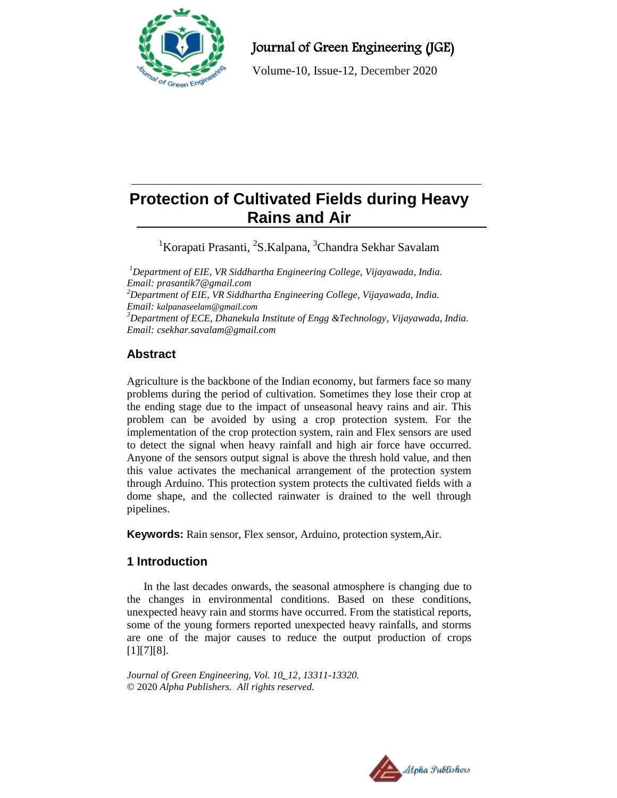

# Journal of Green Engineering (JGE)

Volume-10, Issue-12, December 2020

# **Protection of Cultivated Fields during Heavy Rains and Air**

<sup>1</sup>Korapati Prasanti, <sup>2</sup>S.Kalpana, <sup>3</sup>Chandra Sekhar Savalam

*<sup>1</sup>Department of EIE, VR Siddhartha Engineering College, Vijayawada, India. Email[: prasantik7@gmail.com](mailto:prasantik7@gmail.com) <sup>2</sup>Department of EIE, VR Siddhartha Engineering College, Vijayawada, India. Email: kalpanaseelam@gmail.com <sup>3</sup>Department of ECE, Dhanekula Institute of Engg &Technology, Vijayawada, India. Email[: csekhar.savalam@gmail.com](mailto:csekhar.savalam@gmail.com)*

## **Abstract**

Agriculture is the backbone of the Indian economy, but farmers face so many problems during the period of cultivation. Sometimes they lose their crop at the ending stage due to the impact of unseasonal heavy rains and air. This problem can be avoided by using a crop protection system. For the implementation of the crop protection system, rain and Flex sensors are used to detect the signal when heavy rainfall and high air force have occurred. Anyone of the sensors output signal is above the thresh hold value, and then this value activates the mechanical arrangement of the protection system through Arduino. This protection system protects the cultivated fields with a dome shape, and the collected rainwater is drained to the well through pipelines.

**Keywords:** Rain sensor, Flex sensor, Arduino, protection system,Air.

## **1 Introduction**

In the last decades onwards, the seasonal atmosphere is changing due to the changes in environmental conditions. Based on these conditions, unexpected heavy rain and storms have occurred. From the statistical reports, some of the young formers reported unexpected heavy rainfalls, and storms are one of the major causes to reduce the output production of crops  $[1][7][8]$ .

*Journal of Green Engineering, Vol. 10\_12, 13311-13320.* © 2020 *Alpha Publishers. All rights reserved.*

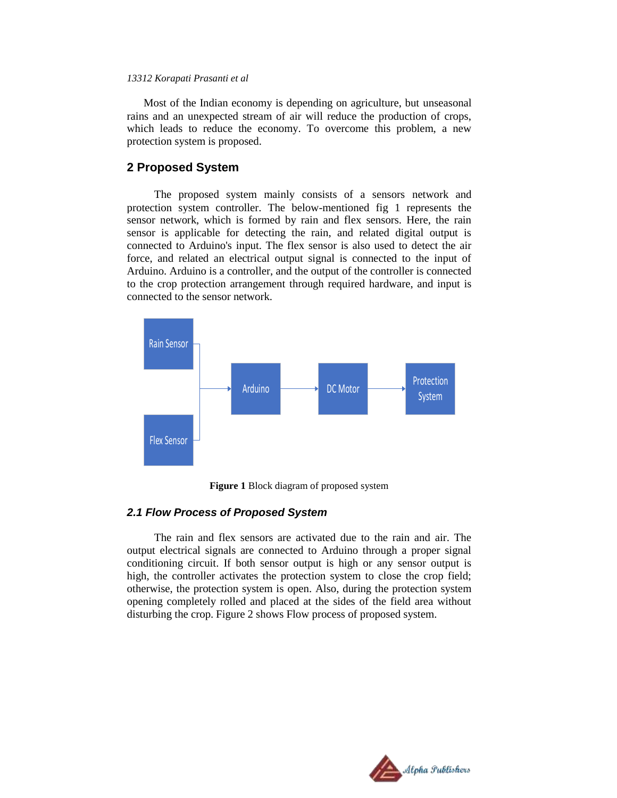Most of the Indian economy is depending on agriculture, but unseasonal rains and an unexpected stream of air will reduce the production of crops, which leads to reduce the economy. To overcome this problem, a new protection system is proposed.

#### **2 Proposed System**

The proposed system mainly consists of a sensors network and protection system controller. The below-mentioned fig 1 represents the sensor network, which is formed by rain and flex sensors. Here, the rain sensor is applicable for detecting the rain, and related digital output is connected to Arduino's input. The flex sensor is also used to detect the air force, and related an electrical output signal is connected to the input of Arduino. Arduino is a controller, and the output of the controller is connected to the crop protection arrangement through required hardware, and input is connected to the sensor network.



**Figure 1** Block diagram of proposed system

#### *2.1 Flow Process of Proposed System*

The rain and flex sensors are activated due to the rain and air. The output electrical signals are connected to Arduino through a proper signal conditioning circuit. If both sensor output is high or any sensor output is high, the controller activates the protection system to close the crop field; otherwise, the protection system is open. Also, during the protection system opening completely rolled and placed at the sides of the field area without disturbing the crop. Figure 2 shows Flow process of proposed system.

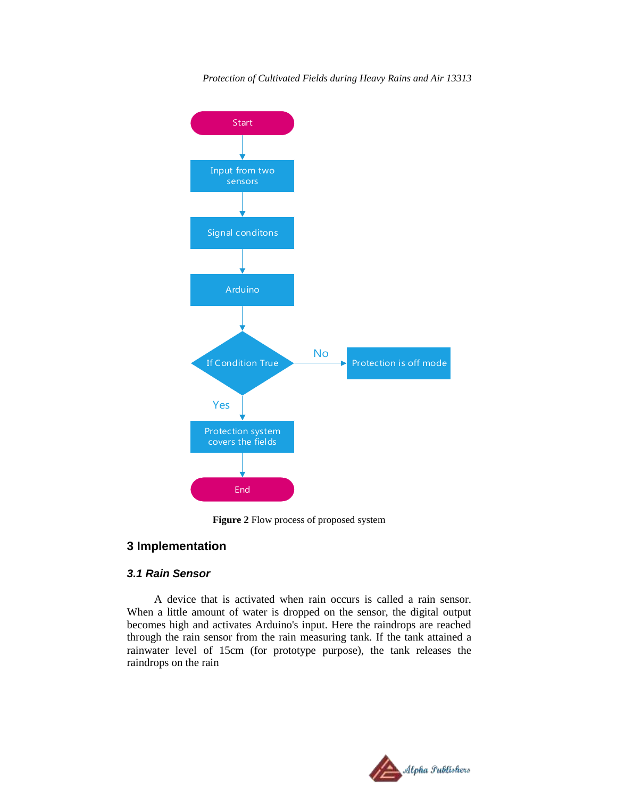

*Protection of Cultivated Fields during Heavy Rains and Air 13313*

**Figure 2** Flow process of proposed system

## **3 Implementation**

## *3.1 Rain Sensor*

A device that is activated when rain occurs is called a rain sensor. When a little amount of water is dropped on the sensor, the digital output becomes high and activates Arduino's input. Here the raindrops are reached through the rain sensor from the rain measuring tank. If the tank attained a rainwater level of 15cm (for prototype purpose), the tank releases the raindrops on the rain

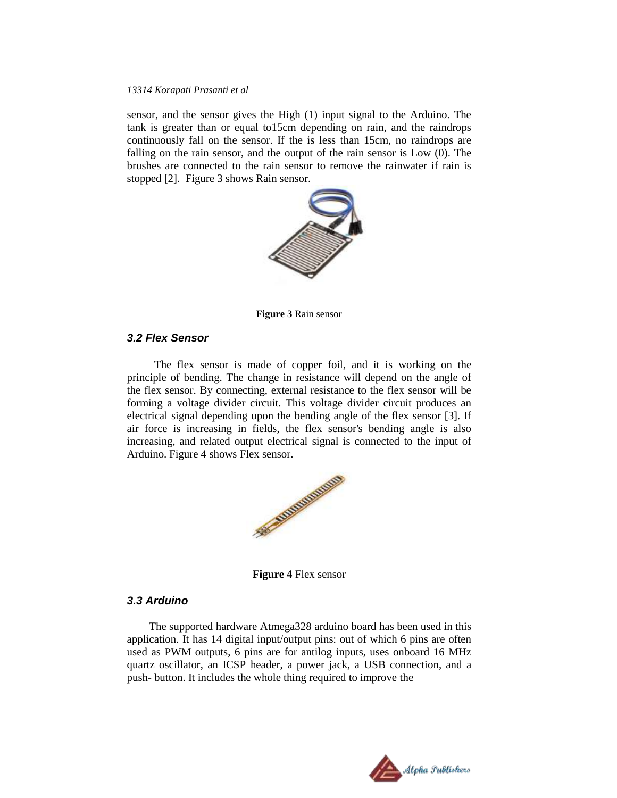sensor, and the sensor gives the High (1) input signal to the Arduino. The tank is greater than or equal to15cm depending on rain, and the raindrops continuously fall on the sensor. If the is less than 15cm, no raindrops are falling on the rain sensor, and the output of the rain sensor is Low (0). The brushes are connected to the rain sensor to remove the rainwater if rain is stopped [2]. Figure 3 shows Rain sensor.



**Figure 3** Rain sensor

#### *3.2 Flex Sensor*

The flex sensor is made of copper foil, and it is working on the principle of bending. The change in resistance will depend on the angle of the flex sensor. By connecting, external resistance to the flex sensor will be forming a voltage divider circuit. This voltage divider circuit produces an electrical signal depending upon the bending angle of the flex sensor [3]. If air force is increasing in fields, the flex sensor's bending angle is also increasing, and related output electrical signal is connected to the input of Arduino. Figure 4 shows Flex sensor.



**Figure 4** Flex sensor

#### *3.3 Arduino*

 The supported hardware Atmega328 arduino board has been used in this application. It has 14 digital input/output pins: out of which 6 pins are often used as PWM outputs, 6 pins are for antilog inputs, uses onboard 16 MHz quartz oscillator, an ICSP header, a power jack, a USB connection, and a push- button. It includes the whole thing required to improve the

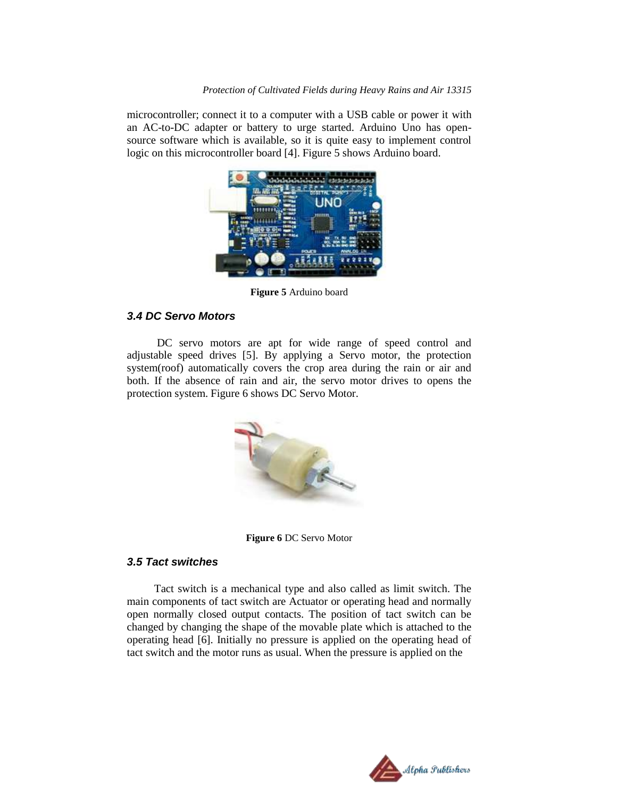#### *Protection of Cultivated Fields during Heavy Rains and Air 13315*

microcontroller; connect it to a computer with a USB cable or power it with an AC-to-DC adapter or battery to urge started. Arduino Uno has opensource software which is available, so it is quite easy to implement control logic on this microcontroller board [4]. Figure 5 shows Arduino board.



**Figure 5** Arduino board

## *3.4 DC Servo Motors*

DC servo motors are apt for wide range of speed control and adjustable speed drives [5]. By applying a Servo motor, the protection system(roof) automatically covers the crop area during the rain or air and both. If the absence of rain and air, the servo motor drives to opens the protection system. Figure 6 shows DC Servo Motor.



**Figure 6** DC Servo Motor

## *3.5 Tact switches*

Tact switch is a mechanical type and also called as limit switch. The main components of tact switch are Actuator or operating head and normally open normally closed output contacts. The position of tact switch can be changed by changing the shape of the movable plate which is attached to the operating head [6]. Initially no pressure is applied on the operating head of tact switch and the motor runs as usual. When the pressure is applied on the

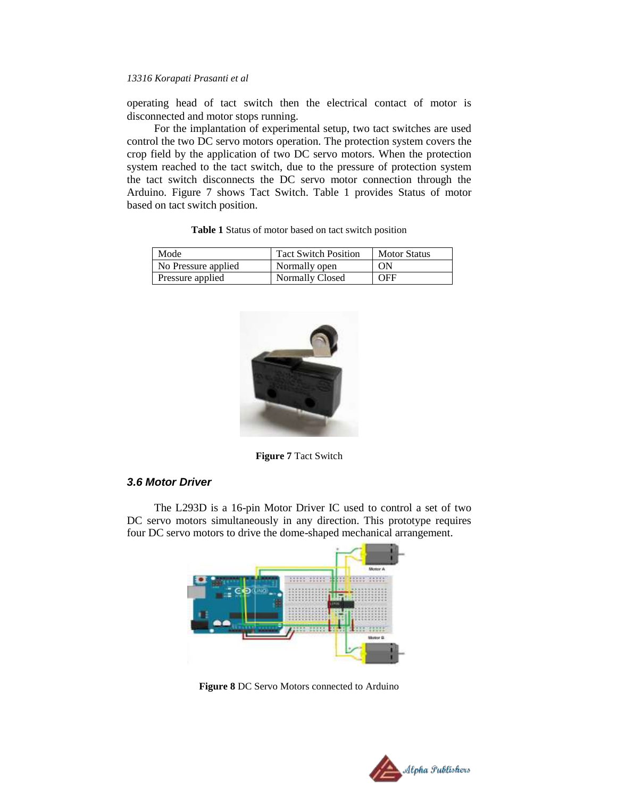operating head of tact switch then the electrical contact of motor is disconnected and motor stops running.

For the implantation of experimental setup, two tact switches are used control the two DC servo motors operation. The protection system covers the crop field by the application of two DC servo motors. When the protection system reached to the tact switch, due to the pressure of protection system the tact switch disconnects the DC servo motor connection through the Arduino. Figure 7 shows Tact Switch. Table 1 provides Status of motor based on tact switch position.

| Mode                | <b>Tact Switch Position</b> | <b>Motor Status</b> |
|---------------------|-----------------------------|---------------------|
| No Pressure applied | Normally open               | ON                  |
| Pressure applied    | Normally Closed             | OFF                 |

**Table 1** Status of motor based on tact switch position



**Figure 7** Tact Switch

#### *3.6 Motor Driver*

The L293D is a 16-pin Motor Driver IC used to control a set of two DC servo motors simultaneously in any direction. This prototype requires four DC servo motors to drive the dome-shaped mechanical arrangement.



**Figure 8** DC Servo Motors connected to Arduino

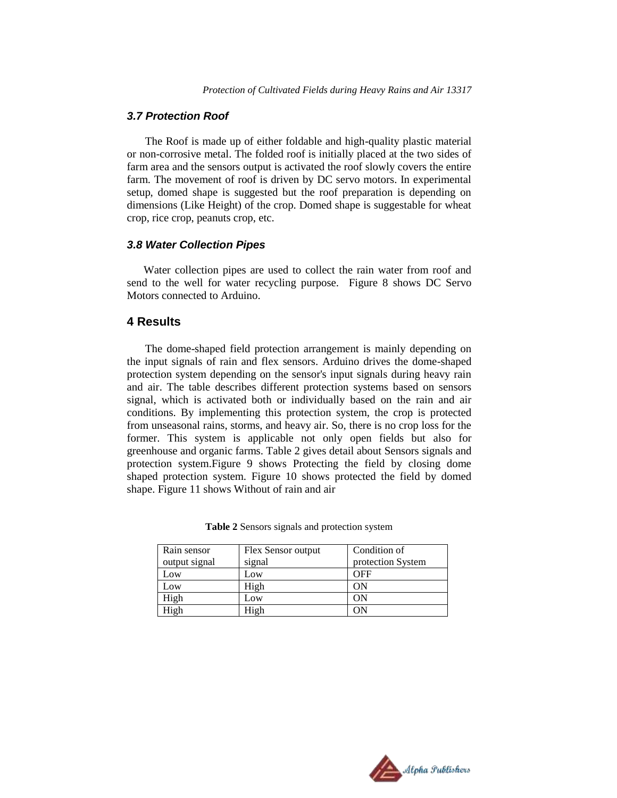#### *3.7 Protection Roof*

 The Roof is made up of either foldable and high-quality plastic material or non-corrosive metal. The folded roof is initially placed at the two sides of farm area and the sensors output is activated the roof slowly covers the entire farm. The movement of roof is driven by DC servo motors. In experimental setup, domed shape is suggested but the roof preparation is depending on dimensions (Like Height) of the crop. Domed shape is suggestable for wheat crop, rice crop, peanuts crop, etc.

#### *3.8 Water Collection Pipes*

 Water collection pipes are used to collect the rain water from roof and send to the well for water recycling purpose. Figure 8 shows DC Servo Motors connected to Arduino.

## **4 Results**

The dome-shaped field protection arrangement is mainly depending on the input signals of rain and flex sensors. Arduino drives the dome-shaped protection system depending on the sensor's input signals during heavy rain and air. The table describes different protection systems based on sensors signal, which is activated both or individually based on the rain and air conditions. By implementing this protection system, the crop is protected from unseasonal rains, storms, and heavy air. So, there is no crop loss for the former. This system is applicable not only open fields but also for greenhouse and organic farms. Table 2 gives detail about Sensors signals and protection system.Figure 9 shows Protecting the field by closing dome shaped protection system. Figure 10 shows protected the field by domed shape. Figure 11 shows Without of rain and air

| Rain sensor<br>output signal | Flex Sensor output<br>signal | Condition of<br>protection System |
|------------------------------|------------------------------|-----------------------------------|
| Low                          | Low                          | OFF                               |
| Low                          | High                         | OΝ                                |
| High                         | Low                          | OΝ                                |
| High                         | High                         | ОN                                |

**Table 2** Sensors signals and protection system

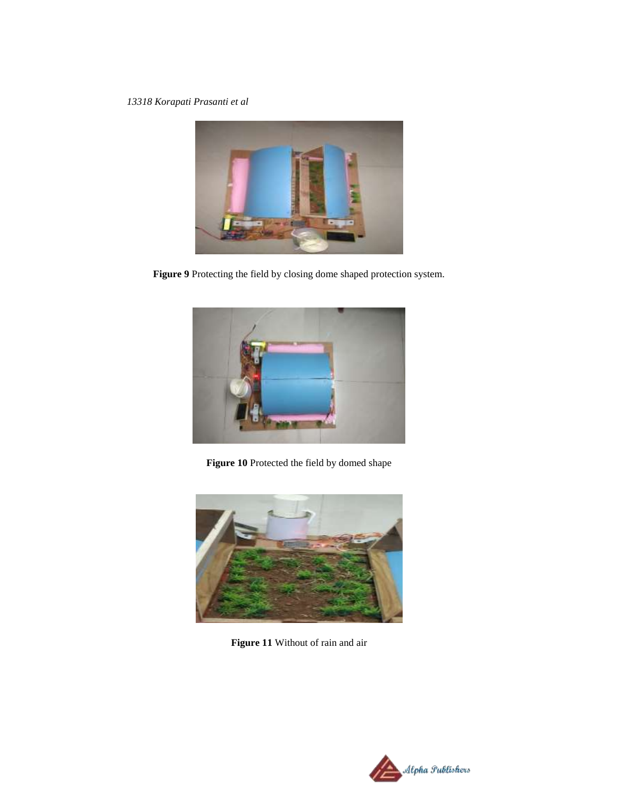

**Figure 9** Protecting the field by closing dome shaped protection system.



**Figure 10** Protected the field by domed shape



**Figure 11** Without of rain and air

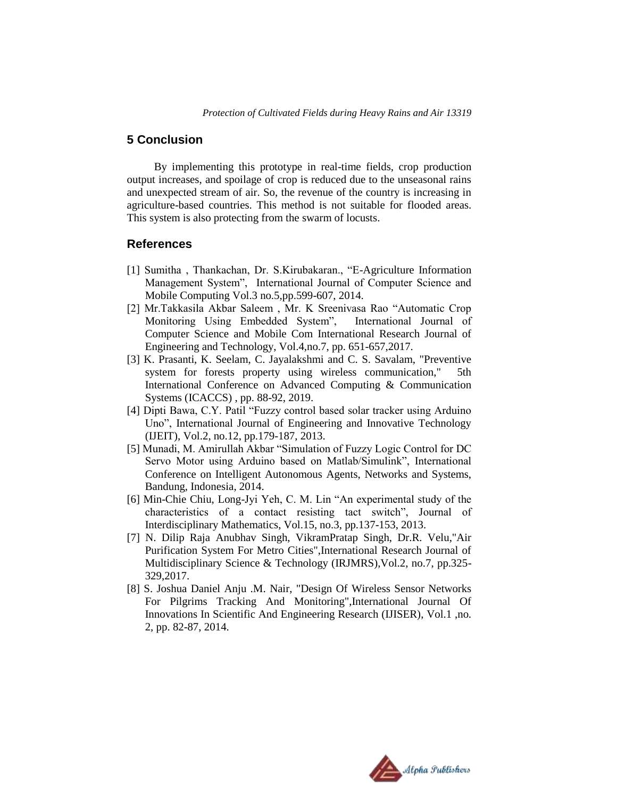## **5 Conclusion**

By implementing this prototype in real-time fields, crop production output increases, and spoilage of crop is reduced due to the unseasonal rains and unexpected stream of air. So, the revenue of the country is increasing in agriculture-based countries. This method is not suitable for flooded areas. This system is also protecting from the swarm of locusts.

#### **References**

- [1] Sumitha , Thankachan, Dr. S.Kirubakaran., "E-Agriculture Information Management System", International Journal of Computer Science and Mobile Computing Vol.3 no.5,pp.599-607, 2014.
- [2] Mr.Takkasila Akbar Saleem , Mr. K Sreenivasa Rao "Automatic Crop Monitoring Using Embedded System", International Journal of Computer Science and Mobile Com International Research Journal of Engineering and Technology, Vol.4,no.7, pp. 651-657,2017.
- [3] K. Prasanti, K. Seelam, C. Jayalakshmi and C. S. Savalam, "Preventive system for forests property using wireless communication," 5th International Conference on Advanced Computing & Communication Systems (ICACCS) , pp. 88-92, 2019.
- [4] Dipti Bawa, C.Y. Patil "Fuzzy control based solar tracker using Arduino Uno", International Journal of Engineering and Innovative Technology (IJEIT), Vol.2, no.12, pp.179-187, 2013.
- [5] Munadi, M. Amirullah Akbar "Simulation of Fuzzy Logic Control for DC Servo Motor using Arduino based on Matlab/Simulink", International Conference on Intelligent Autonomous Agents, Networks and Systems, Bandung, Indonesia, 2014.
- [6] Min-Chie Chiu, Long-Jyi Yeh, C. M. Lin "An experimental study of the characteristics of a contact resisting tact switch", Journal of Interdisciplinary Mathematics, Vol.15, no.3, pp.137-153, 2013.
- [7] N. Dilip Raja Anubhav Singh, VikramPratap Singh, Dr.R. Velu,"Air Purification System For Metro Cities",International Research Journal of Multidisciplinary Science & Technology (IRJMRS),Vol.2, no.7, pp.325- 329,2017.
- [8] S. Joshua Daniel Anju .M. Nair, "Design Of Wireless Sensor Networks For Pilgrims Tracking And Monitoring",International Journal Of Innovations In Scientific And Engineering Research (IJISER), Vol.1 ,no. 2, pp. 82-87, 2014.